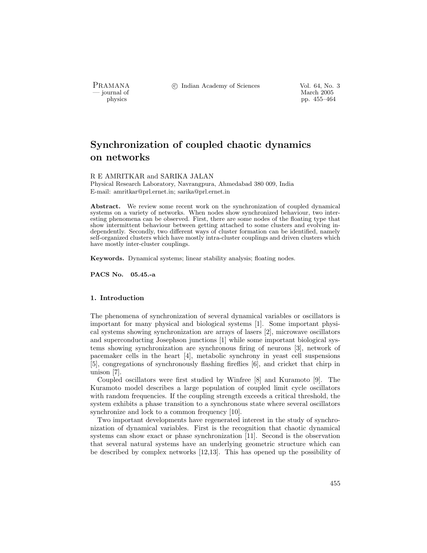PRAMANA °c Indian Academy of Sciences Vol. 64, No. 3

physics and the method of the method of the method of the March 2005 pp. 455–464 pp. 455–464 pp. 455–464 pp. 455–464 pp. 455–464 pp. 455–464 pp. 455–464 pp. 455–464 pp. 455–464 pp. 455–464 pp. 455–464 pp. 455–464 pp. 455–4 physics pp. 455–464

# Synchronization of coupled chaotic dynamics on networks

## R E AMRITKAR and SARIKA JALAN

Physical Research Laboratory, Navrangpura, Ahmedabad 380 009, India E-mail: amritkar@prl.ernet.in; sarika@prl.ernet.in

Abstract. We review some recent work on the synchronization of coupled dynamical systems on a variety of networks. When nodes show synchronized behaviour, two interesting phenomena can be observed. First, there are some nodes of the floating type that show intermittent behaviour between getting attached to some clusters and evolving independently. Secondly, two different ways of cluster formation can be identified, namely self-organized clusters which have mostly intra-cluster couplings and driven clusters which have mostly inter-cluster couplings.

Keywords. Dynamical systems; linear stability analysis; floating nodes.

PACS No. 05.45.-a

# 1. Introduction

The phenomena of synchronization of several dynamical variables or oscillators is important for many physical and biological systems [1]. Some important physical systems showing synchronization are arrays of lasers [2], microwave oscillators and superconducting Josephson junctions [1] while some important biological systems showing synchronization are synchronous firing of neurons [3], network of pacemaker cells in the heart [4], metabolic synchrony in yeast cell suspensions [5], congregations of synchronously flashing fireflies [6], and cricket that chirp in unison [7].

Coupled oscillators were first studied by Winfree [8] and Kuramoto [9]. The Kuramoto model describes a large population of coupled limit cycle oscillators with random frequencies. If the coupling strength exceeds a critical threshold, the system exhibits a phase transition to a synchronous state where several oscillators synchronize and lock to a common frequency [10].

Two important developments have regenerated interest in the study of synchronization of dynamical variables. First is the recognition that chaotic dynamical systems can show exact or phase synchronization [11]. Second is the observation that several natural systems have an underlying geometric structure which can be described by complex networks [12,13]. This has opened up the possibility of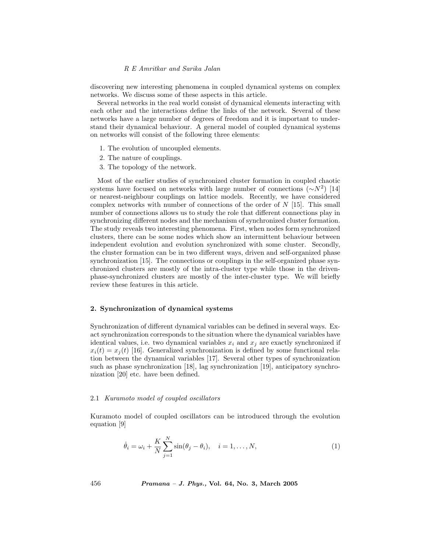discovering new interesting phenomena in coupled dynamical systems on complex networks. We discuss some of these aspects in this article.

Several networks in the real world consist of dynamical elements interacting with each other and the interactions define the links of the network. Several of these networks have a large number of degrees of freedom and it is important to understand their dynamical behaviour. A general model of coupled dynamical systems on networks will consist of the following three elements:

- 1. The evolution of uncoupled elements.
- 2. The nature of couplings.
- 3. The topology of the network.

Most of the earlier studies of synchronized cluster formation in coupled chaotic systems have focused on networks with large number of connections  $({\sim}N^2)$  [14] or nearest-neighbour couplings on lattice models. Recently, we have considered complex networks with number of connections of the order of  $N$  [15]. This small number of connections allows us to study the role that different connections play in synchronizing different nodes and the mechanism of synchronized cluster formation. The study reveals two interesting phenomena. First, when nodes form synchronized clusters, there can be some nodes which show an intermittent behaviour between independent evolution and evolution synchronized with some cluster. Secondly, the cluster formation can be in two different ways, driven and self-organized phase synchronization [15]. The connections or couplings in the self-organized phase synchronized clusters are mostly of the intra-cluster type while those in the drivenphase-synchronized clusters are mostly of the inter-cluster type. We will briefly review these features in this article.

#### 2. Synchronization of dynamical systems

Synchronization of different dynamical variables can be defined in several ways. Exact synchronization corresponds to the situation where the dynamical variables have identical values, i.e. two dynamical variables  $x_i$  and  $x_j$  are exactly synchronized if  $x_i(t) = x_j(t)$  [16]. Generalized synchronization is defined by some functional relation between the dynamical variables [17]. Several other types of synchronization such as phase synchronization [18], lag synchronization [19], anticipatory synchronization [20] etc. have been defined.

## 2.1 Kuramoto model of coupled oscillators

Kuramoto model of coupled oscillators can be introduced through the evolution equation [9]

$$
\dot{\theta}_i = \omega_i + \frac{K}{N} \sum_{j=1}^N \sin(\theta_j - \theta_i), \quad i = 1, \dots, N,
$$
\n(1)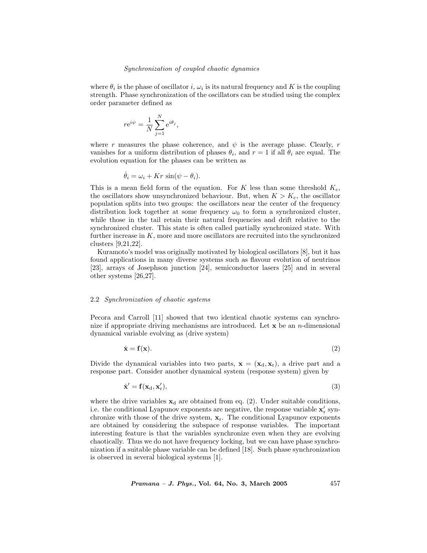where  $\theta_i$  is the phase of oscillator i,  $\omega_i$  is its natural frequency and K is the coupling strength. Phase synchronization of the oscillators can be studied using the complex order parameter defined as

$$
r\mathrm{e}^{i\psi} = \frac{1}{N}\sum_{j=1}^N \mathrm{e}^{i\theta_j},
$$

where r measures the phase coherence, and  $\psi$  is the average phase. Clearly, r vanishes for a uniform distribution of phases  $\theta_i$ , and  $r = 1$  if all  $\theta_i$  are equal. The evolution equation for the phases can be written as

$$
\dot{\theta}_i = \omega_i + Kr \sin(\psi - \theta_i).
$$

This is a mean field form of the equation. For  $K$  less than some threshold  $K_c$ , the oscillators show unsynchronized behaviour. But, when  $K > K_c$ , the oscillator population splits into two groups: the oscillators near the center of the frequency distribution lock together at some frequency  $\omega_0$  to form a synchronized cluster, while those in the tail retain their natural frequencies and drift relative to the synchronized cluster. This state is often called partially synchronized state. With further increase in  $K$ , more and more oscillators are recruited into the synchronized clusters [9,21,22].

Kuramoto's model was originally motivated by biological oscillators [8], but it has found applications in many diverse systems such as flavour evolution of neutrinos [23], arrays of Josephson junction [24], semiconductor lasers [25] and in several other systems [26,27].

#### 2.2 Synchronization of chaotic systems

Pecora and Carroll [11] showed that two identical chaotic systems can synchronize if appropriate driving mechanisms are introduced. Let  $x$  be an *n*-dimensional dynamical variable evolving as (drive system)

$$
\dot{\mathbf{x}} = \mathbf{f}(\mathbf{x}).\tag{2}
$$

Divide the dynamical variables into two parts,  $\mathbf{x} = (\mathbf{x}_d, \mathbf{x}_r)$ , a drive part and a response part. Consider another dynamical system (response system) given by

$$
\dot{\mathbf{x}}' = \mathbf{f}(\mathbf{x}_d, \mathbf{x}_r'),\tag{3}
$$

where the drive variables  $x_d$  are obtained from eq. (2). Under suitable conditions, i.e. the conditional Lyapunov exponents are negative, the response variable  $\mathbf{x}'_r$  synchronize with those of the drive system,  $\mathbf{x}_r$ . The conditional Lyapunov exponents are obtained by considering the subspace of response variables. The important interesting feature is that the variables synchronize even when they are evolving chaotically. Thus we do not have frequency locking, but we can have phase synchronization if a suitable phase variable can be defined [18]. Such phase synchronization is observed in several biological systems [1].

Pramana – J. Phys., Vol. 64, No. 3, March 2005 457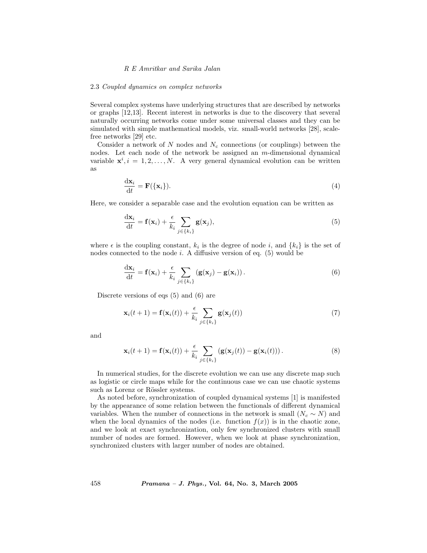#### 2.3 Coupled dynamics on complex networks

Several complex systems have underlying structures that are described by networks or graphs [12,13]. Recent interest in networks is due to the discovery that several naturally occurring networks come under some universal classes and they can be simulated with simple mathematical models, viz. small-world networks [28], scalefree networks [29] etc.

Consider a network of  $N$  nodes and  $N_c$  connections (or couplings) between the nodes. Let each node of the network be assigned an m-dimensional dynamical variable  $\mathbf{x}^i, i = 1, 2, ..., N$ . A very general dynamical evolution can be written as

$$
\frac{\mathrm{d}\mathbf{x}_i}{\mathrm{d}t} = \mathbf{F}(\{\mathbf{x}_i\}).\tag{4}
$$

Here, we consider a separable case and the evolution equation can be written as

$$
\frac{\mathrm{d}\mathbf{x}_i}{\mathrm{d}t} = \mathbf{f}(\mathbf{x}_i) + \frac{\epsilon}{k_i} \sum_{j \in \{k_i\}} \mathbf{g}(\mathbf{x}_j),\tag{5}
$$

where  $\epsilon$  is the coupling constant,  $k_i$  is the degree of node i, and  $\{k_i\}$  is the set of nodes connected to the node  $i$ . A diffusive version of eq.  $(5)$  would be

$$
\frac{\mathrm{d}\mathbf{x}_i}{\mathrm{d}t} = \mathbf{f}(\mathbf{x}_i) + \frac{\epsilon}{k_i} \sum_{j \in \{k_i\}} (\mathbf{g}(\mathbf{x}_j) - \mathbf{g}(\mathbf{x}_i)). \tag{6}
$$

Discrete versions of eqs (5) and (6) are

$$
\mathbf{x}_{i}(t+1) = \mathbf{f}(\mathbf{x}_{i}(t)) + \frac{\epsilon}{k_{i}} \sum_{j \in \{k_{i}\}} \mathbf{g}(\mathbf{x}_{j}(t))
$$
\n(7)

and

$$
\mathbf{x}_{i}(t+1) = \mathbf{f}(\mathbf{x}_{i}(t)) + \frac{\epsilon}{k_{i}} \sum_{j \in \{k_{i}\}} (\mathbf{g}(\mathbf{x}_{j}(t)) - \mathbf{g}(\mathbf{x}_{i}(t))). \qquad (8)
$$

In numerical studies, for the discrete evolution we can use any discrete map such as logistic or circle maps while for the continuous case we can use chaotic systems such as Lorenz or Rössler systems.

As noted before, synchronization of coupled dynamical systems [1] is manifested by the appearance of some relation between the functionals of different dynamical variables. When the number of connections in the network is small  $(N_c \sim N)$  and when the local dynamics of the nodes (i.e. function  $f(x)$ ) is in the chaotic zone, and we look at exact synchronization, only few synchronized clusters with small number of nodes are formed. However, when we look at phase synchronization, synchronized clusters with larger number of nodes are obtained.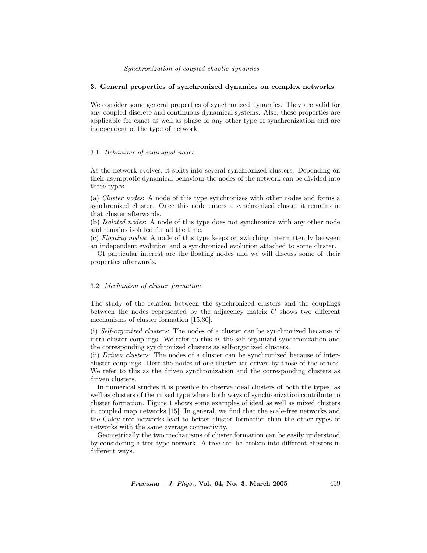## 3. General properties of synchronized dynamics on complex networks

We consider some general properties of synchronized dynamics. They are valid for any coupled discrete and continuous dynamical systems. Also, these properties are applicable for exact as well as phase or any other type of synchronization and are independent of the type of network.

## 3.1 Behaviour of individual nodes

As the network evolves, it splits into several synchronized clusters. Depending on their asymptotic dynamical behaviour the nodes of the network can be divided into three types.

(a) Cluster nodes: A node of this type synchronizes with other nodes and forms a synchronized cluster. Once this node enters a synchronized cluster it remains in that cluster afterwards.

(b) Isolated nodes: A node of this type does not synchronize with any other node and remains isolated for all the time.

(c) Floating nodes: A node of this type keeps on switching intermittently between an independent evolution and a synchronized evolution attached to some cluster.

Of particular interest are the floating nodes and we will discuss some of their properties afterwards.

# 3.2 Mechanism of cluster formation

The study of the relation between the synchronized clusters and the couplings between the nodes represented by the adjacency matrix  $C$  shows two different mechanisms of cluster formation [15,30].

(i) Self-organized clusters: The nodes of a cluster can be synchronized because of intra-cluster couplings. We refer to this as the self-organized synchronization and the corresponding synchronized clusters as self-organized clusters.

(ii) Driven clusters: The nodes of a cluster can be synchronized because of intercluster couplings. Here the nodes of one cluster are driven by those of the others. We refer to this as the driven synchronization and the corresponding clusters as driven clusters.

In numerical studies it is possible to observe ideal clusters of both the types, as well as clusters of the mixed type where both ways of synchronization contribute to cluster formation. Figure 1 shows some examples of ideal as well as mixed clusters in coupled map networks [15]. In general, we find that the scale-free networks and the Caley tree networks lead to better cluster formation than the other types of networks with the same average connectivity.

Geometrically the two mechanisms of cluster formation can be easily understood by considering a tree-type network. A tree can be broken into different clusters in different ways.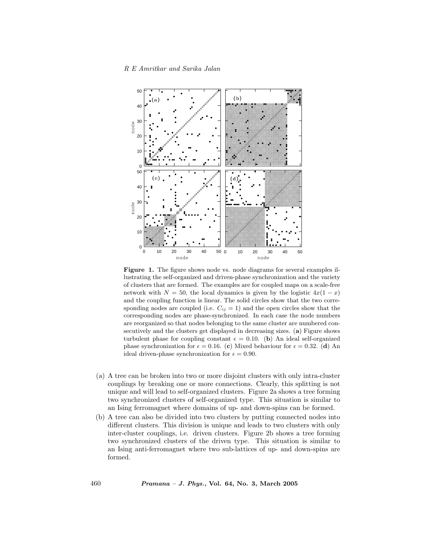

Figure 1. The figure shows node vs. node diagrams for several examples illustrating the self-organized and driven-phase synchronization and the variety of clusters that are formed. The examples are for coupled maps on a scale-free network with  $N = 50$ , the local dynamics is given by the logistic  $4x(1-x)$ and the coupling function is linear. The solid circles show that the two corresponding nodes are coupled (i.e.  $C_{ij} = 1$ ) and the open circles show that the corresponding nodes are phase-synchronized. In each case the node numbers are reorganized so that nodes belonging to the same cluster are numbered consecutively and the clusters get displayed in decreasing sizes. (a) Figure shows turbulent phase for coupling constant  $\epsilon = 0.10$ . (b) An ideal self-organized phase synchronization for  $\epsilon = 0.16$ . (c) Mixed behaviour for  $\epsilon = 0.32$ . (d) An ideal driven-phase synchronization for  $\epsilon = 0.90$ .

- (a) A tree can be broken into two or more disjoint clusters with only intra-cluster couplings by breaking one or more connections. Clearly, this splitting is not unique and will lead to self-organized clusters. Figure 2a shows a tree forming two synchronized clusters of self-organized type. This situation is similar to an Ising ferromagnet where domains of up- and down-spins can be formed.
- (b) A tree can also be divided into two clusters by putting connected nodes into different clusters. This division is unique and leads to two clusters with only inter-cluster couplings, i.e. driven clusters. Figure 2b shows a tree forming two synchronized clusters of the driven type. This situation is similar to an Ising anti-ferromagnet where two sub-lattices of up- and down-spins are formed.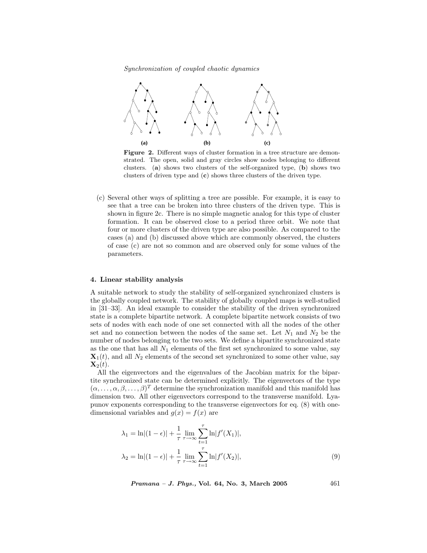

Figure 2. Different ways of cluster formation in a tree structure are demonstrated. The open, solid and gray circles show nodes belonging to different clusters. (a) shows two clusters of the self-organized type, (b) shows two clusters of driven type and (c) shows three clusters of the driven type.

(c) Several other ways of splitting a tree are possible. For example, it is easy to see that a tree can be broken into three clusters of the driven type. This is shown in figure 2c. There is no simple magnetic analog for this type of cluster formation. It can be observed close to a period three orbit. We note that four or more clusters of the driven type are also possible. As compared to the cases (a) and (b) discussed above which are commonly observed, the clusters of case (c) are not so common and are observed only for some values of the parameters.

## 4. Linear stability analysis

A suitable network to study the stability of self-organized synchronized clusters is the globally coupled network. The stability of globally coupled maps is well-studied in [31–33]. An ideal example to consider the stability of the driven synchronized state is a complete bipartite network. A complete bipartite network consists of two sets of nodes with each node of one set connected with all the nodes of the other set and no connection between the nodes of the same set. Let  $N_1$  and  $N_2$  be the number of nodes belonging to the two sets. We define a bipartite synchronized state as the one that has all  $N_1$  elements of the first set synchronized to some value, say  $\mathbf{X}_1(t)$ , and all  $N_2$  elements of the second set synchronized to some other value, say  $\mathbf{X}_2(t)$ .

All the eigenvectors and the eigenvalues of the Jacobian matrix for the bipartite synchronized state can be determined explicitly. The eigenvectors of the type  $(\alpha, \ldots, \alpha, \beta, \ldots, \beta)^T$  determine the synchronization manifold and this manifold has dimension two. All other eigenvectors correspond to the transverse manifold. Lyapunov exponents corresponding to the transverse eigenvectors for eq. (8) with onedimensional variables and  $q(x) = f(x)$  are

$$
\lambda_1 = \ln|(1 - \epsilon)| + \frac{1}{\tau} \lim_{\tau \to \infty} \sum_{t=1}^{\tau} \ln|f'(X_1)|,
$$
  

$$
\lambda_2 = \ln|(1 - \epsilon)| + \frac{1}{\tau} \lim_{\tau \to \infty} \sum_{t=1}^{\tau} \ln|f'(X_2)|,
$$
 (9)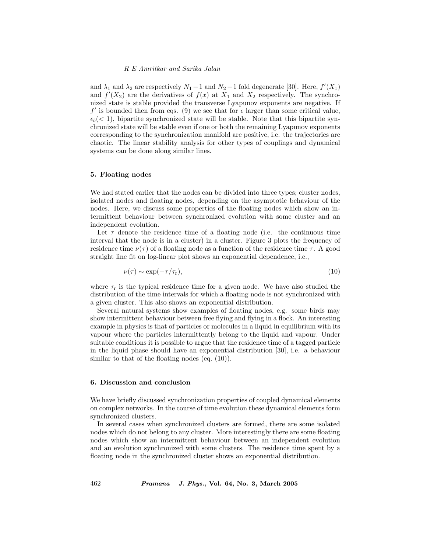and  $\lambda_1$  and  $\lambda_2$  are respectively  $N_1 - 1$  and  $N_2 - 1$  fold degenerate [30]. Here,  $f'(X_1)$ and  $f'(X_2)$  are the derivatives of  $f(x)$  at  $X_1$  and  $X_2$  respectively. The synchronized state is stable provided the transverse Lyapunov exponents are negative. If  $f'$  is bounded then from eqs. (9) we see that for  $\epsilon$  larger than some critical value,  $\epsilon_b$  (< 1), bipartite synchronized state will be stable. Note that this bipartite synchronized state will be stable even if one or both the remaining Lyapunov exponents corresponding to the synchronization manifold are positive, i.e. the trajectories are chaotic. The linear stability analysis for other types of couplings and dynamical systems can be done along similar lines.

## 5. Floating nodes

We had stated earlier that the nodes can be divided into three types; cluster nodes, isolated nodes and floating nodes, depending on the asymptotic behaviour of the nodes. Here, we discuss some properties of the floating nodes which show an intermittent behaviour between synchronized evolution with some cluster and an independent evolution.

Let  $\tau$  denote the residence time of a floating node (i.e. the continuous time interval that the node is in a cluster) in a cluster. Figure 3 plots the frequency of residence time  $\nu(\tau)$  of a floating node as a function of the residence time  $\tau$ . A good straight line fit on log-linear plot shows an exponential dependence, i.e.,

$$
\nu(\tau) \sim \exp(-\tau/\tau_r),\tag{10}
$$

where  $\tau_r$  is the typical residence time for a given node. We have also studied the distribution of the time intervals for which a floating node is not synchronized with a given cluster. This also shows an exponential distribution.

Several natural systems show examples of floating nodes, e.g. some birds may show intermittent behaviour between free flying and flying in a flock. An interesting example in physics is that of particles or molecules in a liquid in equilibrium with its vapour where the particles intermittently belong to the liquid and vapour. Under suitable conditions it is possible to argue that the residence time of a tagged particle in the liquid phase should have an exponential distribution [30], i.e. a behaviour similar to that of the floating nodes (eq. (10)).

# 6. Discussion and conclusion

We have briefly discussed synchronization properties of coupled dynamical elements on complex networks. In the course of time evolution these dynamical elements form synchronized clusters.

In several cases when synchronized clusters are formed, there are some isolated nodes which do not belong to any cluster. More interestingly there are some floating nodes which show an intermittent behaviour between an independent evolution and an evolution synchronized with some clusters. The residence time spent by a floating node in the synchronized cluster shows an exponential distribution.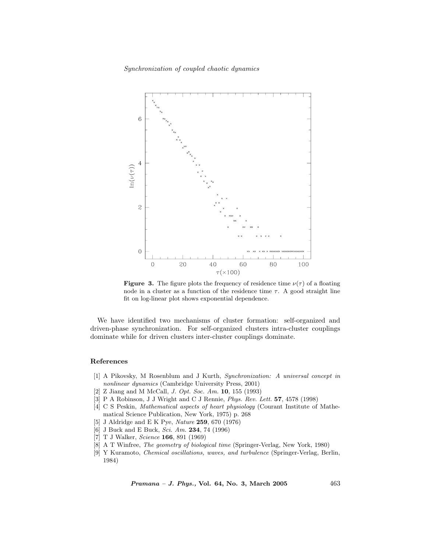

**Figure 3.** The figure plots the frequency of residence time  $\nu(\tau)$  of a floating node in a cluster as a function of the residence time  $\tau$ . A good straight line fit on log-linear plot shows exponential dependence.

We have identified two mechanisms of cluster formation: self-organized and driven-phase synchronization. For self-organized clusters intra-cluster couplings dominate while for driven clusters inter-cluster couplings dominate.

## References

- [1] A Pikovsky, M Rosenblum and J Kurth, Synchronization: A universal concept in nonlinear dynamics (Cambridge University Press, 2001)
- [2] Z Jiang and M McCall, J. Opt. Soc. Am. 10, 155 (1993)
- [3] P A Robinson, J J Wright and C J Rennie, Phys. Rev. Lett. 57, 4578 (1998)
- [4] C S Peskin, Mathematical aspects of heart physiology (Courant Institute of Mathematical Science Publication, New York, 1975) p. 268
- [5] J Aldridge and E K Pye, Nature 259, 670 (1976)
- [6] J Buck and E Buck, Sci. Am. **234**, 74 (1996)
- [7] T J Walker, Science 166, 891 (1969)
- [8] A T Winfree, The geometry of biological time (Springer-Verlag, New York, 1980)
- [9] Y Kuramoto, Chemical oscillations, waves, and turbulence (Springer-Verlag, Berlin, 1984)